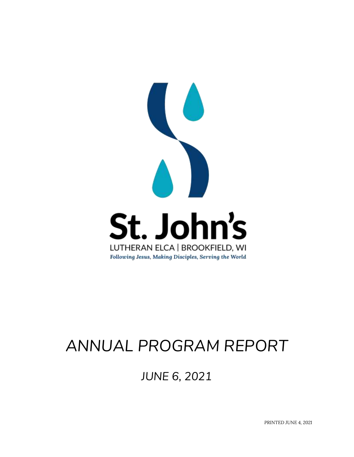

# *ANNUAL PROGRAM REPORT*

*JUNE 6, 2021*

*PRINTED JUNE 4, 2021*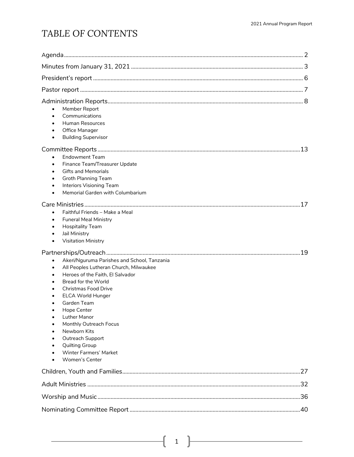## *TABLE OF CONTENTS*

| Member Report<br>$\bullet$<br>Communications<br>$\bullet$<br><b>Human Resources</b><br>$\bullet$<br>Office Manager<br>$\bullet$<br><b>Building Supervisor</b><br>$\bullet$<br><b>Endowment Team</b><br>$\bullet$<br>Finance Team/Treasurer Update<br>$\bullet$<br><b>Gifts and Memorials</b><br>$\bullet$<br><b>Groth Planning Team</b><br>$\bullet$<br>Interiors Visioning Team<br>$\bullet$<br>Memorial Garden with Columbarium<br>$\bullet$                                                                  | 13 |
|-----------------------------------------------------------------------------------------------------------------------------------------------------------------------------------------------------------------------------------------------------------------------------------------------------------------------------------------------------------------------------------------------------------------------------------------------------------------------------------------------------------------|----|
| Faithful Friends - Make a Meal<br>$\bullet$<br><b>Funeral Meal Ministry</b><br>$\bullet$<br><b>Hospitality Team</b><br>$\bullet$<br>Jail Ministry<br>$\bullet$<br><b>Visitation Ministry</b><br>$\bullet$                                                                                                                                                                                                                                                                                                       |    |
| Akeri/Nguruma Parishes and School, Tanzania<br>$\bullet$<br>All Peoples Lutheran Church, Milwaukee<br>$\bullet$<br>Heroes of the Faith, El Salvador<br>$\bullet$<br><b>Bread for the World</b><br>$\bullet$<br><b>Christmas Food Drive</b><br>ELCA World Hunger<br>Garden Team<br>$\bullet$<br>Hope Center<br>٠<br><b>Luther Manor</b><br>Monthly Outreach Focus<br>Newborn Kits<br>$\bullet$<br>Outreach Support<br>$\bullet$<br><b>Quilting Group</b><br>٠<br>Winter Farmers' Market<br><b>Women's Center</b> |    |
|                                                                                                                                                                                                                                                                                                                                                                                                                                                                                                                 |    |
|                                                                                                                                                                                                                                                                                                                                                                                                                                                                                                                 |    |
|                                                                                                                                                                                                                                                                                                                                                                                                                                                                                                                 |    |
|                                                                                                                                                                                                                                                                                                                                                                                                                                                                                                                 |    |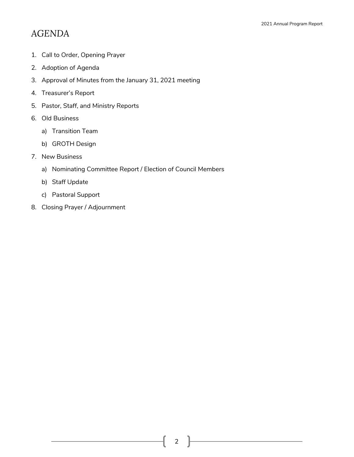## *AGENDA*

- 1. Call to Order, Opening Prayer
- 2. Adoption of Agenda
- 3. Approval of Minutes from the January 31, 2021 meeting
- 4. Treasurer's Report
- 5. Pastor, Staff, and Ministry Reports
- 6. Old Business
	- a) Transition Team
	- b) GROTH Design
- 7. New Business
	- a) Nominating Committee Report / Election of Council Members
	- b) Staff Update
	- c) Pastoral Support
- 8. Closing Prayer / Adjournment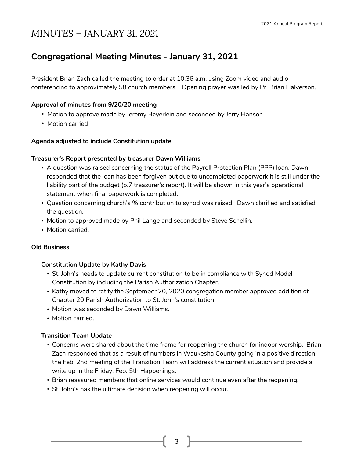## *MINUTES – JANUARY 31, 2021*

### **Congregational Meeting Minutes - January 31, 2021**

President Brian Zach called the meeting to order at 10:36 a.m. using Zoom video and audio conferencing to approximately 58 church members. Opening prayer was led by Pr. Brian Halverson.

#### **Approval of minutes from 9/20/20 meeting**

- Motion to approve made by Jeremy Beyerlein and seconded by Jerry Hanson
- Motion carried

#### **Agenda adjusted to include Constitution update**

#### **Treasurer's Report presented by treasurer Dawn Williams**

- A question was raised concerning the status of the Payroll Protection Plan (PPP) loan. Dawn responded that the loan has been forgiven but due to uncompleted paperwork it is still under the liability part of the budget (p.7 treasurer's report). It will be shown in this year's operational statement when final paperwork is completed.
- Question concerning church's % contribution to synod was raised. Dawn clarified and satisfied the question.
- Motion to approved made by Phil Lange and seconded by Steve Schellin.
- Motion carried.

#### **Old Business**

#### **Constitution Update by Kathy Davis**

- St. John's needs to update current constitution to be in compliance with Synod Model Constitution by including the Parish Authorization Chapter.
- Kathy moved to ratify the September 20, 2020 congregation member approved addition of Chapter 20 Parish Authorization to St. John's constitution.
- Motion was seconded by Dawn Williams.
- Motion carried.

#### **Transition Team Update**

- Concerns were shared about the time frame for reopening the church for indoor worship. Brian Zach responded that as a result of numbers in Waukesha County going in a positive direction the Feb. 2nd meeting of the Transition Team will address the current situation and provide a write up in the Friday, Feb. 5th Happenings.
- Brian reassured members that online services would continue even after the reopening.
- St. John's has the ultimate decision when reopening will occur.

3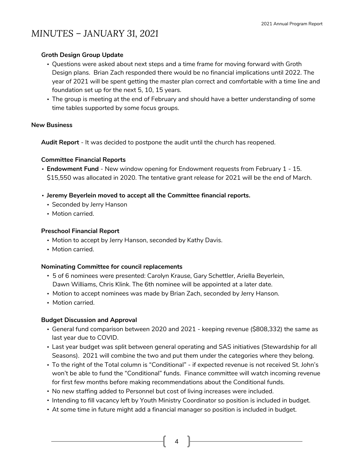## *MINUTES – JANUARY 31, 2021*

#### **Groth Design Group Update**

- Questions were asked about next steps and a time frame for moving forward with Groth Design plans. Brian Zach responded there would be no financial implications until 2022. The year of 2021 will be spent getting the master plan correct and comfortable with a time line and foundation set up for the next 5, 10, 15 years.
- The group is meeting at the end of February and should have a better understanding of some time tables supported by some focus groups.

#### **New Business**

**Audit Report** - It was decided to postpone the audit until the church has reopened.

#### **Committee Financial Reports**

- **Endowment Fund**  New window opening for Endowment requests from February 1 15. \$15,550 was allocated in 2020. The tentative grant release for 2021 will be the end of March.
- **Jeremy Beyerlein moved to accept all the Committee financial reports.**
	- Seconded by Jerry Hanson
	- Motion carried.

#### **Preschool Financial Report**

- Motion to accept by Jerry Hanson, seconded by Kathy Davis.
- Motion carried.

#### **Nominating Committee for council replacements**

- 5 of 6 nominees were presented: Carolyn Krause, Gary Schettler, Ariella Beyerlein, Dawn Williams, Chris Klink. The 6th nominee will be appointed at a later date.
- Motion to accept nominees was made by Brian Zach, seconded by Jerry Hanson.
- Motion carried.

#### **Budget Discussion and Approval**

- General fund comparison between 2020 and 2021 keeping revenue (\$808,332) the same as last year due to COVID.
- Last year budget was split between general operating and SAS initiatives (Stewardship for all Seasons). 2021 will combine the two and put them under the categories where they belong.
- To the right of the Total column is "Conditional" if expected revenue is not received St. John's won't be able to fund the "Conditional" funds. Finance committee will watch incoming revenue for first few months before making recommendations about the Conditional funds.
- No new staffing added to Personnel but cost of living increases were included.
- Intending to fill vacancy left by Youth Ministry Coordinator so position is included in budget.

4

• At some time in future might add a financial manager so position is included in budget.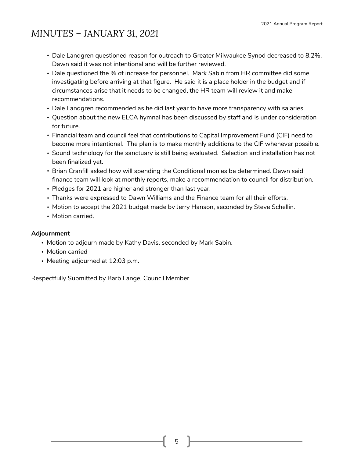## *MINUTES – JANUARY 31, 2021*

- Dale Landgren questioned reason for outreach to Greater Milwaukee Synod decreased to 8.2%. Dawn said it was not intentional and will be further reviewed.
- Dale questioned the % of increase for personnel. Mark Sabin from HR committee did some investigating before arriving at that figure. He said it is a place holder in the budget and if circumstances arise that it needs to be changed, the HR team will review it and make recommendations.
- Dale Landgren recommended as he did last year to have more transparency with salaries.
- Question about the new ELCA hymnal has been discussed by staff and is under consideration for future.
- Financial team and council feel that contributions to Capital Improvement Fund (CIF) need to become more intentional. The plan is to make monthly additions to the CIF whenever possible.
- Sound technology for the sanctuary is still being evaluated. Selection and installation has not been finalized yet.
- Brian Cranfill asked how will spending the Conditional monies be determined. Dawn said finance team will look at monthly reports, make a recommendation to council for distribution.
- Pledges for 2021 are higher and stronger than last year.
- Thanks were expressed to Dawn Williams and the Finance team for all their efforts.
- Motion to accept the 2021 budget made by Jerry Hanson, seconded by Steve Schellin.
- Motion carried.

#### **Adjournment**

- Motion to adjourn made by Kathy Davis, seconded by Mark Sabin.
- Motion carried
- Meeting adjourned at 12:03 p.m.

Respectfully Submitted by Barb Lange, Council Member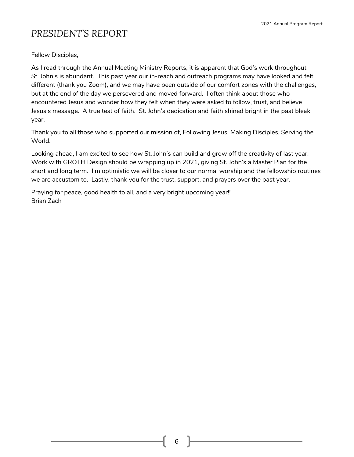2021 Annual Program Report

## *PRESIDENT'S REPORT*

Fellow Disciples,

As I read through the Annual Meeting Ministry Reports, it is apparent that God's work throughout St. John's is abundant. This past year our in-reach and outreach programs may have looked and felt different (thank you Zoom), and we may have been outside of our comfort zones with the challenges, but at the end of the day we persevered and moved forward. I often think about those who encountered Jesus and wonder how they felt when they were asked to follow, trust, and believe Jesus's message. A true test of faith. St. John's dedication and faith shined bright in the past bleak year.

Thank you to all those who supported our mission of, Following Jesus, Making Disciples, Serving the World.

Looking ahead, I am excited to see how St. John's can build and grow off the creativity of last year. Work with GROTH Design should be wrapping up in 2021, giving St. John's a Master Plan for the short and long term. I'm optimistic we will be closer to our normal worship and the fellowship routines we are accustom to. Lastly, thank you for the trust, support, and prayers over the past year.

Praying for peace, good health to all, and a very bright upcoming year!! Brian Zach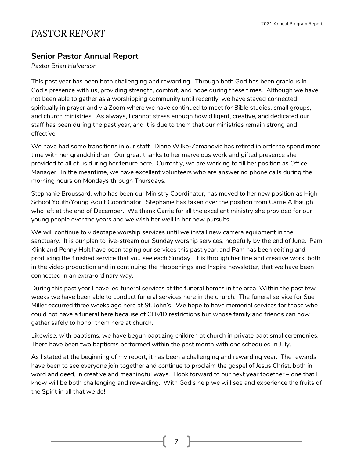### *PASTOR REPORT*

#### **Senior Pastor Annual Report**

*Pastor Brian Halverson*

This past year has been both challenging and rewarding. Through both God has been gracious in God's presence with us, providing strength, comfort, and hope during these times. Although we have not been able to gather as a worshipping community until recently, we have stayed connected spiritually in prayer and via Zoom where we have continued to meet for Bible studies, small groups, and church ministries. As always, I cannot stress enough how diligent, creative, and dedicated our staff has been during the past year, and it is due to them that our ministries remain strong and effective.

We have had some transitions in our staff. Diane Wilke-Zemanovic has retired in order to spend more time with her grandchildren. Our great thanks to her marvelous work and gifted presence she provided to all of us during her tenure here. Currently, we are working to fill her position as Office Manager. In the meantime, we have excellent volunteers who are answering phone calls during the morning hours on Mondays through Thursdays.

Stephanie Broussard, who has been our Ministry Coordinator, has moved to her new position as High School Youth/Young Adult Coordinator. Stephanie has taken over the position from Carrie Allbaugh who left at the end of December. We thank Carrie for all the excellent ministry she provided for our young people over the years and we wish her well in her new pursuits.

We will continue to videotape worship services until we install new camera equipment in the sanctuary. It is our plan to live-stream our Sunday worship services, hopefully by the end of June. Pam Klink and Penny Holt have been taping our services this past year, and Pam has been editing and producing the finished service that you see each Sunday. It is through her fine and creative work, both in the video production and in continuing the Happenings and Inspire newsletter, that we have been connected in an extra-ordinary way.

During this past year I have led funeral services at the funeral homes in the area. Within the past few weeks we have been able to conduct funeral services here in the church. The funeral service for Sue Miller occurred three weeks ago here at St. John's. We hope to have memorial services for those who could not have a funeral here because of COVID restrictions but whose family and friends can now gather safely to honor them here at church.

Likewise, with baptisms, we have begun baptizing children at church in private baptismal ceremonies. There have been two baptisms performed within the past month with one scheduled in July.

As I stated at the beginning of my report, it has been a challenging and rewarding year. The rewards have been to see everyone join together and continue to proclaim the gospel of Jesus Christ, both in word and deed, in creative and meaningful ways. I look forward to our next year together – one that I know will be both challenging and rewarding. With God's help we will see and experience the fruits of the Spirit in all that we do!

7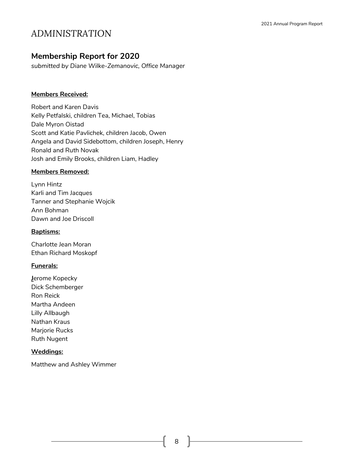### **Membership Report for 2020**

*submitted by Diane Wilke-Zemanovic, Office Manager*

#### **Members Received:**

Robert and Karen Davis Kelly Petfalski, children Tea, Michael, Tobias Dale Myron Oistad Scott and Katie Pavlichek, children Jacob, Owen Angela and David Sidebottom, children Joseph, Henry Ronald and Ruth Novak Josh and Emily Brooks, children Liam, Hadley

#### **Members Removed:**

Lynn Hintz Karli and Tim Jacques Tanner and Stephanie Wojcik Ann Bohman Dawn and Joe Driscoll

#### **Baptisms:**

Charlotte Jean Moran Ethan Richard Moskopf

#### **Funerals:**

**J**erome Kopecky Dick Schemberger Ron Reick Martha Andeen Lilly Allbaugh Nathan Kraus Marjorie Rucks Ruth Nugent

#### **Weddings:**

Matthew and Ashley Wimmer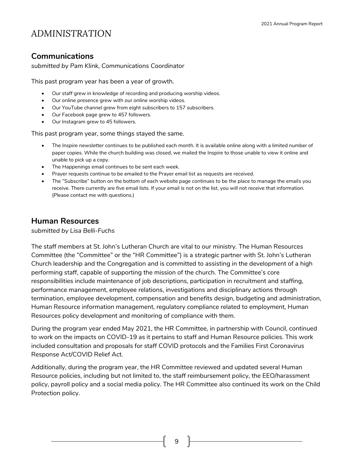### **Communications**

*submitted by Pam Klink, Communications Coordinator*

This past program year has been a year of growth.

- Our staff grew in knowledge of recording and producing worship videos.
- Our online presence grew with our online worship videos.
- Our YouTube channel grew from eight subscribers to 157 subscribers.
- Our Facebook page grew to 457 followers.
- Our Instagram grew to 45 followers.

This past program year, some things stayed the same.

- The *Inspire* newsletter continues to be published each month. It is available online along with a limited number of paper copies. While the church building was closed, we mailed the Inspire to those unable to view it online and unable to pick up a copy.
- The *Happenings* email continues to be sent each week.
- Prayer requests continue to be emailed to the Prayer email list as requests are received.
- The "Subscribe" button on the bottom of each website page continues to be the place to manage the emails you receive. There currently are five email lists. If your email is not on the list, you will not receive that information. (Please contact me with questions.)

#### **Human Resources**

*submitted by Lisa Belli-Fuchs*

The staff members at St. John's Lutheran Church are vital to our ministry. The Human Resources Committee (the "Committee" or the "HR Committee") is a strategic partner with St. John's Lutheran Church leadership and the Congregation and is committed to assisting in the development of a high performing staff, capable of supporting the mission of the church. The Committee's core responsibilities include maintenance of job descriptions, participation in recruitment and staffing, performance management, employee relations, investigations and disciplinary actions through termination, employee development, compensation and benefits design, budgeting and administration, Human Resource information management, regulatory compliance related to employment, Human Resources policy development and monitoring of compliance with them.

During the program year ended May 2021, the HR Committee, in partnership with Council, continued to work on the impacts on COVID-19 as it pertains to staff and Human Resource policies. This work included consultation and proposals for staff COVID protocols and the Families First Coronavirus Response Act/COVID Relief Act.

Additionally, during the program year, the HR Committee reviewed and updated several Human Resource policies, including but not limited to, the staff reimbursement policy, the EEO/harassment policy, payroll policy and a social media policy. The HR Committee also continued its work on the Child Protection policy.

9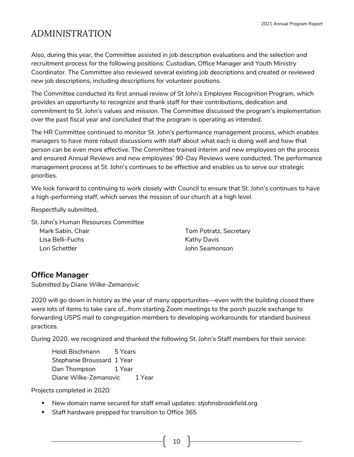Also, during this year, the Committee assisted in job description evaluations and the selection and recruitment process for the following positions: Custodian, Office Manager and Youth Ministry Coordinator. The Committee also reviewed several existing job descriptions and created or reviewed new job descriptions, including descriptions for volunteer positions.

The Committee conducted its first annual review of St John's Employee Recognition Program, which provides an opportunity to recognize and thank staff for their contributions, dedication and commitment to St. John's values and mission. The Committee discussed the program's implementation over the past fiscal year and concluded that the program is operating as intended.

The HR Committee continued to monitor St. John's performance management process, which enables managers to have more robust discussions with staff about what each is doing well and how that person can be even more effective. The Committee trained interim and new employees on the process and ensured Annual Reviews and new employees' 90-Day Reviews were conducted. The performance management process at St. John's continues to be effective and enables us to serve our strategic priorities.

We look forward to continuing to work closely with Council to ensure that St. John's continues to have a high-performing staff, which serves the mission of our church at a high level.

Respectfully submitted,

St. John's Human Resources Committee

| Mark Sabin, Chair | Tom Potratz, Secretary |
|-------------------|------------------------|
| Lisa Belli-Fuchs  | Kathy Davis            |
| Lori Schettler    | John Seamonson         |

#### **Office Manager**

*Submitted by Diane Wilke-Zemanovic*

2020 will go down in history as the year of many opportunities—even with the building closed there were lots of items to take care of…from starting Zoom meetings to the porch puzzle exchange to forwarding USPS mail to congregation members to developing workarounds for standard business practices.

During 2020, we recognized and thanked the following St. John's Staff members for their service:

Heidi Bischmann 5 Years Stephanie Broussard 1 Year Dan Thompson 1 Year Diane Wilke-Zemanovic 1 Year

Projects completed in 2020:

- New domain name secured for staff email updates: stjohnsbrookfield.org
- Staff hardware prepped for transition to Office 365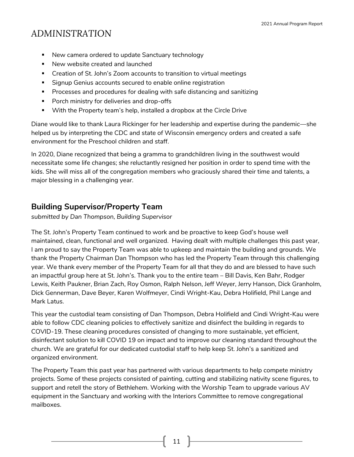- New camera ordered to update Sanctuary technology
- New website created and launched
- Creation of St. John's Zoom accounts to transition to virtual meetings
- **EXT** Signup Genius accounts secured to enable online registration
- Processes and procedures for dealing with safe distancing and sanitizing
- Porch ministry for deliveries and drop-offs
- With the Property team's help, installed a dropbox at the Circle Drive

Diane would like to thank Laura Rickinger for her leadership and expertise during the pandemic—she helped us by interpreting the CDC and state of Wisconsin emergency orders and created a safe environment for the Preschool children and staff.

In 2020, Diane recognized that being a gramma to grandchildren living in the southwest would necessitate some life changes; she reluctantly resigned her position in order to spend time with the kids. She will miss all of the congregation members who graciously shared their time and talents, a major blessing in a challenging year.

### **Building Supervisor/Property Team**

*submitted by Dan Thompson, Building Supervisor*

The St. John's Property Team continued to work and be proactive to keep God's house well maintained, clean, functional and well organized. Having dealt with multiple challenges this past year, I am proud to say the Property Team was able to upkeep and maintain the building and grounds. We thank the Property Chairman Dan Thompson who has led the Property Team through this challenging year. We thank every member of the Property Team for all that they do and are blessed to have such an impactful group here at St. John's. Thank you to the entire team – Bill Davis, Ken Bahr, Rodger Lewis, Keith Paukner, Brian Zach, Roy Osmon, Ralph Nelson, Jeff Weyer, Jerry Hanson, Dick Granholm, Dick Gennerman, Dave Beyer, Karen Wolfmeyer, Cindi Wright-Kau, Debra Holifield, Phil Lange and Mark Latus.

This year the custodial team consisting of Dan Thompson, Debra Holifield and Cindi Wright-Kau were able to follow CDC cleaning policies to effectively sanitize and disinfect the building in regards to COVID-19. These cleaning procedures consisted of changing to more sustainable, yet efficient, disinfectant solution to kill COVID 19 on impact and to improve our cleaning standard throughout the church. We are grateful for our dedicated custodial staff to help keep St. John's a sanitized and organized environment.

The Property Team this past year has partnered with various departments to help compete ministry projects. Some of these projects consisted of painting, cutting and stabilizing nativity scene figures, to support and retell the story of Bethlehem. Working with the Worship Team to upgrade various AV equipment in the Sanctuary and working with the Interiors Committee to remove congregational mailboxes.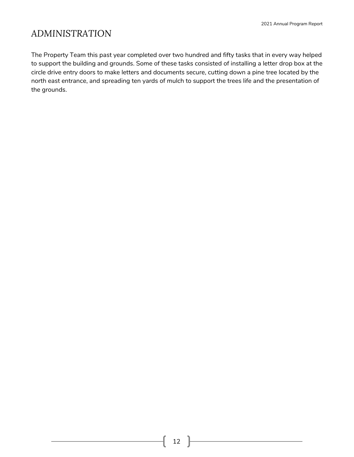The Property Team this past year completed over two hundred and fifty tasks that in every way helped to support the building and grounds. Some of these tasks consisted of installing a letter drop box at the circle drive entry doors to make letters and documents secure, cutting down a pine tree located by the north east entrance, and spreading ten yards of mulch to support the trees life and the presentation of the grounds.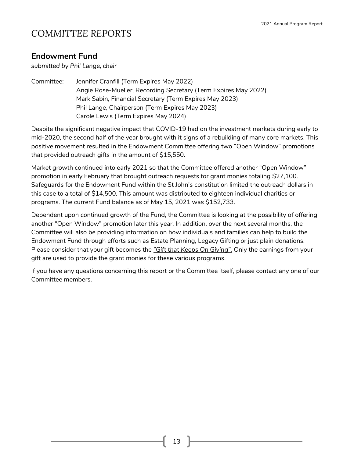## *COMMITTEE REPORTS*

### **Endowment Fund**

*submitted by Phil Lange, chair*

Committee: Jennifer Cranfill (Term Expires May 2022) Angie Rose-Mueller, Recording Secretary (Term Expires May 2022) Mark Sabin, Financial Secretary (Term Expires May 2023) Phil Lange, Chairperson (Term Expires May 2023) Carole Lewis (Term Expires May 2024)

Despite the significant negative impact that COVID-19 had on the investment markets during early to mid-2020, the second half of the year brought with it signs of a rebuilding of many core markets. This positive movement resulted in the Endowment Committee offering two "Open Window" promotions that provided outreach gifts in the amount of \$15,550.

Market growth continued into early 2021 so that the Committee offered another "Open Window" promotion in early February that brought outreach requests for grant monies totaling \$27,100. Safeguards for the Endowment Fund within the St John's constitution limited the outreach dollars in this case to a total of \$14,500. This amount was distributed to eighteen individual charities or programs. The current Fund balance as of May 15, 2021 was \$152,733.

Dependent upon continued growth of the Fund, the Committee is looking at the possibility of offering another "Open Window" promotion later this year. In addition, over the next several months, the Committee will also be providing information on how individuals and families can help to build the Endowment Fund through efforts such as Estate Planning, Legacy Gifting or just plain donations. Please consider that your gift becomes the *"Gift that Keeps On Giving".* Only the earnings from your gift are used to provide the grant monies for these various programs.

If you have any questions concerning this report or the Committee itself, please contact any one of our Committee members.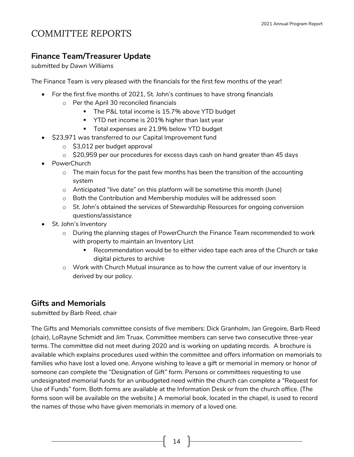## *COMMITTEE REPORTS*

### **Finance Team/Treasurer Update**

*submitted by Dawn Williams*

The Finance Team is very pleased with the financials for the first few months of the year!

- For the first five months of 2021, St. John's continues to have strong financials
	- o Per the April 30 reconciled financials
		- The P&L total income is 15.7% above YTD budget
		- YTD net income is 201% higher than last year
		- Total expenses are 21.9% below YTD budget
- \$23,971 was transferred to our Capital Improvement fund
	- $\circ$  \$3,012 per budget approval
	- $\circ$  \$20,959 per our procedures for excess days cash on hand greater than 45 days
- PowerChurch
	- $\circ$  The main focus for the past few months has been the transition of the accounting system
	- o Anticipated "live date" on this platform will be sometime this month (June)
	- o Both the Contribution and Membership modules will be addressed soon
	- $\circ$  St. John's obtained the services of Stewardship Resources for ongoing conversion questions/assistance
- St. John's Inventory
	- o During the planning stages of PowerChurch the Finance Team recommended to work with property to maintain an Inventory List
		- Recommendation would be to either video tape each area of the Church or take digital pictures to archive
	- $\circ$  Work with Church Mutual insurance as to how the current value of our inventory is derived by our policy.

#### **Gifts and Memorials**

*submitted by Barb Reed, chair*

The Gifts and Memorials committee consists of five members: Dick Granholm, Jan Gregoire, Barb Reed (chair), LoRayne Schmidt and Jim Truax. Committee members can serve two consecutive three-year terms. The committee did not meet during 2020 and is working on updating records. A brochure is available which explains procedures used within the committee and offers information on memorials to families who have lost a loved one. Anyone wishing to leave a gift or memorial in memory or honor of someone can complete the "Designation of Gift" form. Persons or committees requesting to use undesignated memorial funds for an unbudgeted need within the church can complete a "Request for Use of Funds" form. Both forms are available at the Information Desk or from the church office. (The forms soon will be available on the website.) A memorial book, located in the chapel, is used to record the names of those who have given memorials in memory of a loved one.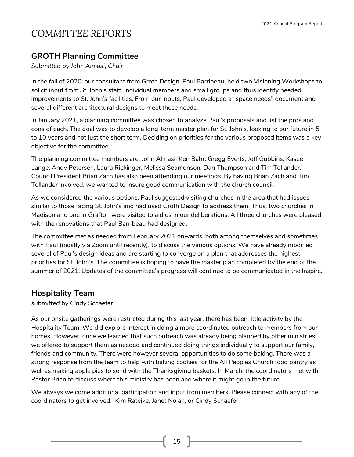## *COMMITTEE REPORTS*

### **GROTH Planning Committee**

*Submitted by John Almasi, Chair*

In the fall of 2020, our consultant from Groth Design, Paul Barribeau, held two Visioning Workshops to solicit input from St. John's staff, individual members and small groups and thus identify needed improvements to St. John's facilities. From our inputs, Paul developed a "space needs" document and several different architectural designs to meet these needs.

In January 2021, a planning committee was chosen to analyze Paul's proposals and list the pros and cons of each. The goal was to develop a long-term master plan for St. John's, looking to our future in 5 to 10 years and not just the short term. Deciding on priorities for the various proposed items was a key objective for the committee.

The planning committee members are: John Almasi, Ken Bahr, Gregg Everts, Jeff Gubbins, Kasee Lange, Andy Petersen, Laura Rickinger, Melissa Seamonson, Dan Thompson and Tim Tollander. Council President Brian Zach has also been attending our meetings. By having Brian Zach and Tim Tollander involved, we wanted to insure good communication with the church council.

As we considered the various options, Paul suggested visiting churches in the area that had issues similar to those facing St. John's and had used Groth Design to address them. Thus, two churches in Madison and one in Grafton were visited to aid us in our deliberations. All three churches were pleased with the renovations that Paul Barribeau had designed.

The committee met as needed from February 2021 onwards, both among themselves and sometimes with Paul (mostly via Zoom until recently), to discuss the various options. We have already modified several of Paul's design ideas and are starting to converge on a plan that addresses the highest priorities for St. John's. The committee is hoping to have the master plan completed by the end of the summer of 2021. Updates of the committee's progress will continue to be communicated in the Inspire.

### **Hospitality Team**

*submitted by Cindy Schaefer*

As our onsite gatherings were restricted during this last year, there has been little activity by the Hospitality Team. We did explore interest in doing a more coordinated outreach to members from our homes. However, once we learned that such outreach was already being planned by other ministries, we offered to support them as needed and continued doing things individually to support our family, friends and community. There were however several opportunities to do some baking. There was a strong response from the team to help with baking cookies for the All Peoples Church food pantry as well as making apple pies to send with the Thanksgiving baskets. In March, the coordinators met with Pastor Brian to discuss where this ministry has been and where it might go in the future.

We always welcome additional participation and input from members. Please connect with any of the coordinators to get involved: Kim Rateike, Janet Nolan, or Cindy Schaefer.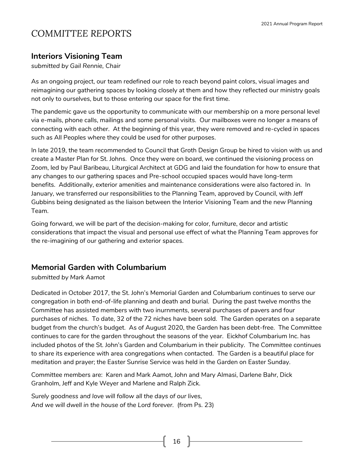#### **Interiors Visioning Team**

*submitted by Gail Rennie, Chair*

As an ongoing project, our team redefined our role to reach beyond paint colors, visual images and reimagining our gathering spaces by looking closely at them and how they reflected our ministry goals not only to ourselves, but to those entering our space for the first time.

The pandemic gave us the opportunity to communicate with our membership on a more personal level via e-mails, phone calls, mailings and some personal visits. Our mailboxes were no longer a means of connecting with each other. At the beginning of this year, they were removed and re-cycled in spaces such as All Peoples where they could be used for other purposes.

In late 2019, the team recommended to Council that Groth Design Group be hired to vision with us and create a Master Plan for St. Johns. Once they were on board, we continued the visioning process on Zoom, led by Paul Baribeau, Liturgical Architect at GDG and laid the foundation for how to ensure that any changes to our gathering spaces and Pre-school occupied spaces would have long-term benefits. Additionally, exterior amenities and maintenance considerations were also factored in. In January, we transferred our responsibilities to the Planning Team, approved by Council, with Jeff Gubbins being designated as the liaison between the Interior Visioning Team and the new Planning Team.

Going forward, we will be part of the decision-making for color, furniture, decor and artistic considerations that impact the visual and personal use effect of what the Planning Team approves for the re-imagining of our gathering and exterior spaces.

#### **Memorial Garden with Columbarium**

*submitted by Mark Aamot*

Dedicated in October 2017, the St. John's Memorial Garden and Columbarium continues to serve our congregation in both end-of-life planning and death and burial. During the past twelve months the Committee has assisted members with two inurnments, several purchases of pavers and four purchases of niches. To date, 32 of the 72 niches have been sold. The Garden operates on a separate budget from the church's budget. As of August 2020, the Garden has been debt-free. The Committee continues to care for the garden throughout the seasons of the year. Eickhof Columbarium Inc. has included photos of the St. John's Garden and Columbarium in their publicity. The Committee continues to share its experience with area congregations when contacted. The Garden is a beautiful place for meditation and prayer; the Easter Sunrise Service was held in the Garden on Easter Sunday.

Committee members are: Karen and Mark Aamot, John and Mary Almasi, Darlene Bahr, Dick Granholm, Jeff and Kyle Weyer and Marlene and Ralph Zick.

*Surely goodness and love will follow all the days of our lives, And we will dwell in the house of the Lord forever.* (from Ps. 23)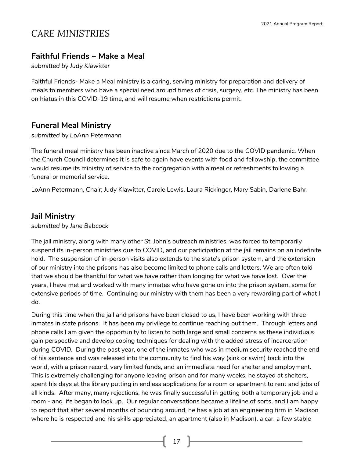## *CARE MINISTRIES*

#### **Faithful Friends ~ Make a Meal**

*submitted by Judy Klawitter* 

Faithful Friends- Make a Meal ministry is a caring, serving ministry for preparation and delivery of meals to members who have a special need around times of crisis, surgery, etc. The ministry has been on hiatus in this COVID-19 time, and will resume when restrictions permit.

#### **Funeral Meal Ministry**

#### *submitted by LoAnn Petermann*

The funeral meal ministry has been inactive since March of 2020 due to the COVID pandemic. When the Church Council determines it is safe to again have events with food and fellowship, the committee would resume its ministry of service to the congregation with a meal or refreshments following a funeral or memorial service.

LoAnn Petermann, Chair; Judy Klawitter, Carole Lewis, Laura Rickinger, Mary Sabin, Darlene Bahr.

#### **Jail Ministry**

*submitted by Jane Babcock*

The jail ministry, along with many other St. John's outreach ministries, was forced to temporarily suspend its in-person ministries due to COVID, and our participation at the jail remains on an indefinite hold. The suspension of in-person visits also extends to the state's prison system, and the extension of our ministry into the prisons has also become limited to phone calls and letters. We are often told that we should be thankful for what we have rather than longing for what we have lost. Over the years, I have met and worked with many inmates who have gone on into the prison system, some for extensive periods of time. Continuing our ministry with them has been a very rewarding part of what I do.

During this time when the jail and prisons have been closed to us, I have been working with three inmates in state prisons. It has been my privilege to continue reaching out them. Through letters and phone calls I am given the opportunity to listen to both large and small concerns as these individuals gain perspective and develop coping techniques for dealing with the added stress of incarceration during COVID. During the past year, one of the inmates who was in medium security reached the end of his sentence and was released into the community to find his way (sink or swim) back into the world, with a prison record, very limited funds, and an immediate need for shelter and employment. This is extremely challenging for anyone leaving prison and for many weeks, he stayed at shelters, spent his days at the library putting in endless applications for a room or apartment to rent and jobs of all kinds. After many, many rejections, he was finally successful in getting both a temporary job and a room - and life began to look up. Our regular conversations became a lifeline of sorts, and I am happy to report that after several months of bouncing around, he has a job at an engineering firm in Madison where he is respected and his skills appreciated, an apartment (also in Madison), a car, a few stable

 $17$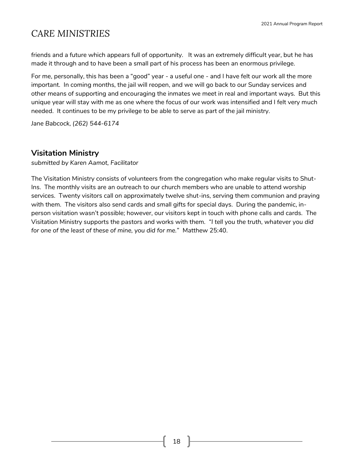## *CARE MINISTRIES*

friends and a future which appears full of opportunity. It was an extremely difficult year, but he has made it through and to have been a small part of his process has been an enormous privilege.

For me, personally, this has been a "good" year - a useful one - and I have felt our work all the more important. In coming months, the jail will reopen, and we will go back to our Sunday services and other means of supporting and encouraging the inmates we meet in real and important ways. But this unique year will stay with me as one where the focus of our work was intensified and I felt very much needed. It continues to be my privilege to be able to serve as part of the jail ministry.

*Jane Babcock, (262) 544-6174*

#### **Visitation Ministry**

*submitted by Karen Aamot, Facilitator*

The Visitation Ministry consists of volunteers from the congregation who make regular visits to Shut-Ins. The monthly visits are an outreach to our church members who are unable to attend worship services. Twenty visitors call on approximately twelve shut-ins, serving them communion and praying with them. The visitors also send cards and small gifts for special days. During the pandemic, inperson visitation wasn't possible; however, our visitors kept in touch with phone calls and cards. The Visitation Ministry supports the pastors and works with them. *"I tell you the truth, whatever you did for one of the least of these of mine, you did for me."* Matthew 25:40.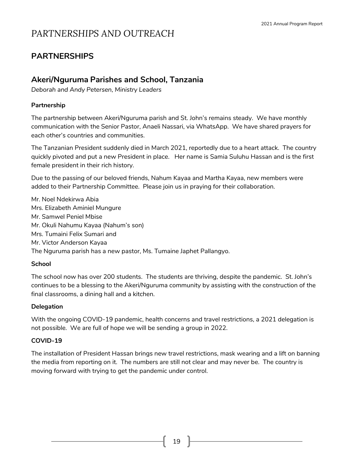### **PARTNERSHIPS**

### **Akeri/Nguruma Parishes and School, Tanzania**

*Deborah and Andy Petersen, Ministry Leaders*

#### **Partnership**

The partnership between Akeri/Nguruma parish and St. John's remains steady. We have monthly communication with the Senior Pastor, Anaeli Nassari, via WhatsApp. We have shared prayers for each other's countries and communities.

The Tanzanian President suddenly died in March 2021, reportedly due to a heart attack. The country quickly pivoted and put a new President in place. Her name is Samia Suluhu Hassan and is the first female president in their rich history.

Due to the passing of our beloved friends, Nahum Kayaa and Martha Kayaa, new members were added to their Partnership Committee. Please join us in praying for their collaboration.

Mr. Noel Ndekirwa Abia Mrs. Elizabeth Aminiel Mungure Mr. Samwel Peniel Mbise Mr. Okuli Nahumu Kayaa (Nahum's son) Mrs. Tumaini Felix Sumari and Mr. Victor Anderson Kayaa The Nguruma parish has a new pastor, Ms. Tumaine Japhet Pallangyo.

#### **School**

The school now has over 200 students. The students are thriving, despite the pandemic. St. John's continues to be a blessing to the Akeri/Nguruma community by assisting with the construction of the final classrooms, a dining hall and a kitchen.

#### **Delegation**

With the ongoing COVID-19 pandemic, health concerns and travel restrictions, a 2021 delegation is not possible. We are full of hope we will be sending a group in 2022.

#### **COVID-19**

The installation of President Hassan brings new travel restrictions, mask wearing and a lift on banning the media from reporting on it. The numbers are still not clear and may never be. The country is moving forward with trying to get the pandemic under control.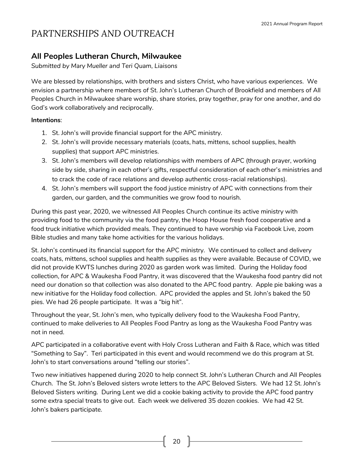### **All Peoples Lutheran Church, Milwaukee**

*Submitted by Mary Mueller and Teri Quam, Liaisons*

We are blessed by relationships, with brothers and sisters Christ, who have various experiences. We envision a partnership where members of St. John's Lutheran Church of Brookfield and members of All Peoples Church in Milwaukee share worship, share stories, pray together, pray for one another, and do God's work collaboratively and reciprocally.

#### **Intentions**:

- 1. St. John's will provide financial support for the APC ministry.
- 2. St. John's will provide necessary materials (coats, hats, mittens, school supplies, health supplies) that support APC ministries.
- 3. St. John's members will develop relationships with members of APC (through prayer, working side by side, sharing in each other's gifts, respectful consideration of each other's ministries and to crack the code of race relations and develop authentic cross-racial relationships).
- 4. St. John's members will support the food justice ministry of APC with connections from their garden, our garden, and the communities we grow food to nourish.

During this past year, 2020, we witnessed All Peoples Church continue its active ministry with providing food to the community via the food pantry, the Hoop House fresh food cooperative and a food truck initiative which provided meals. They continued to have worship via Facebook Live, zoom Bible studies and many take home activities for the various holidays.

St. John's continued its financial support for the APC ministry. We continued to collect and delivery coats, hats, mittens, school supplies and health supplies as they were available. Because of COVID, we did not provide KWTS lunches during 2020 as garden work was limited. During the Holiday food collection, for APC & Waukesha Food Pantry, it was discovered that the Waukesha food pantry did not need our donation so that collection was also donated to the APC food pantry. Apple pie baking was a new initiative for the Holiday food collection. APC provided the apples and St. John's baked the 50 pies. We had 26 people participate. It was a "big hit".

Throughout the year, St. John's men, who typically delivery food to the Waukesha Food Pantry, continued to make deliveries to All Peoples Food Pantry as long as the Waukesha Food Pantry was not in need.

APC participated in a collaborative event with Holy Cross Lutheran and Faith & Race, which was titled "Something to Say". Teri participated in this event and would recommend we do this program at St. John's to start conversations around "telling our stories".

Two new initiatives happened during 2020 to help connect St. John's Lutheran Church and All Peoples Church. The St. John's Beloved sisters wrote letters to the APC Beloved Sisters. We had 12 St. John's Beloved Sisters writing. During Lent we did a cookie baking activity to provide the APC food pantry some extra special treats to give out. Each week we delivered 35 dozen cookies. We had 42 St. John's bakers participate.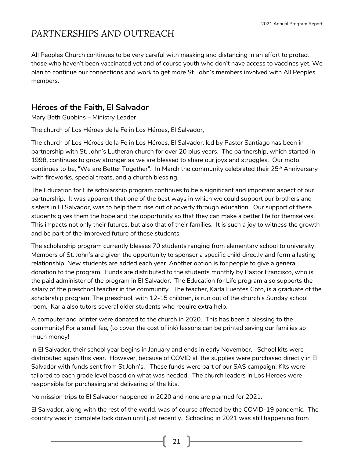All Peoples Church continues to be very careful with masking and distancing in an effort to protect those who haven't been vaccinated yet and of course youth who don't have access to vaccines yet. We plan to continue our connections and work to get more St. John's members involved with All Peoples members.

### **Héroes of the Faith, El Salvador**

Mary Beth Gubbins – Ministry Leader

The church of Los Héroes de la Fe in Los Héroes, El Salvador,

The church of Los Héroes de la Fe in Los Héroes, El Salvador, led by Pastor Santiago has been in partnership with St. John's Lutheran church for over 20 plus years. The partnership, which started in 1998, continues to grow stronger as we are blessed to share our joys and struggles. Our moto continues to be, "We are Better Together". In March the community celebrated their 25<sup>th</sup> Anniversary with fireworks, special treats, and a church blessing.

The Education for Life scholarship program continues to be a significant and important aspect of our partnership. It was apparent that one of the best ways in which we could support our brothers and sisters in El Salvador, was to help them rise out of poverty through education. Our support of these students gives them the hope and the opportunity so that they can make a better life for themselves. This impacts not only their futures, but also that of their families. It is such a joy to witness the growth and be part of the improved future of these students.

The scholarship program currently blesses 70 students ranging from elementary school to university! Members of St. John's are given the opportunity to sponsor a specific child directly and form a lasting relationship. New students are added each year. Another option is for people to give a general donation to the program. Funds are distributed to the students monthly by Pastor Francisco, who is the paid administer of the program in El Salvador. The Education for Life program also supports the salary of the preschool teacher in the community. The teacher, Karla Fuentes Coto, is a graduate of the scholarship program. The preschool, with 12-15 children, is run out of the church's Sunday school room. Karla also tutors several older students who require extra help.

A computer and printer were donated to the church in 2020. This has been a blessing to the community! For a small fee, (to cover the cost of ink) lessons can be printed saving our families so much money!

In El Salvador, their school year begins in January and ends in early November. School kits were distributed again this year. However, because of COVID all the supplies were purchased directly in El Salvador with funds sent from St John's. These funds were part of our SAS campaign. Kits were tailored to each grade level based on what was needed. The church leaders in Los Heroes were responsible for purchasing and delivering of the kits.

No mission trips to El Salvador happened in 2020 and none are planned for 2021.

El Salvador, along with the rest of the world, was of course affected by the COVID-19 pandemic. The country was in complete lock down until just recently. Schooling in 2021 was still happening from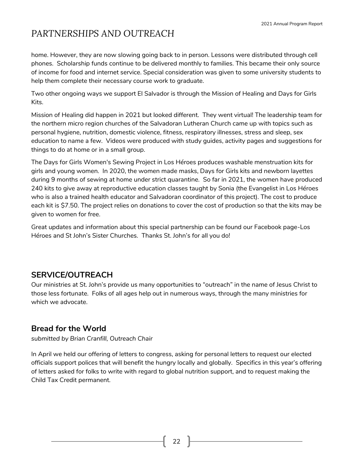home. However, they are now slowing going back to in person. Lessons were distributed through cell phones. Scholarship funds continue to be delivered monthly to families. This became their only source of income for food and internet service. Special consideration was given to some university students to help them complete their necessary course work to graduate.

Two other ongoing ways we support El Salvador is through the Mission of Healing and Days for Girls Kits.

Mission of Healing did happen in 2021 but looked different. They went virtual! The leadership team for the northern micro region churches of the Salvadoran Lutheran Church came up with topics such as personal hygiene, nutrition, domestic violence, fitness, respiratory illnesses, stress and sleep, sex education to name a few. Videos were produced with study guides, activity pages and suggestions for things to do at home or in a small group.

The Days for Girls Women's Sewing Project in Los Héroes produces washable menstruation kits for girls and young women. In 2020, the women made masks, Days for Girls kits and newborn layettes during 9 months of sewing at home under strict quarantine. So far in 2021, the women have produced 240 kits to give away at reproductive education classes taught by Sonia (the Evangelist in Los Héroes who is also a trained health educator and Salvadoran coordinator of this project). The cost to produce each kit is \$7.50. The project relies on donations to cover the cost of production so that the kits may be given to women for free.

Great updates and information about this special partnership can be found our Facebook page-Los Héroes and St John's Sister Churches. Thanks St. John's for all you do!

### **SERVICE/OUTREACH**

Our ministries at St. John's provide us many opportunities to "outreach" in the name of Jesus Christ to those less fortunate. Folks of all ages help out in numerous ways, through the many ministries for which we advocate.

### **Bread for the World**

*submitted by Brian Cranfill, Outreach Chair*

In April we held our offering of letters to congress, asking for personal letters to request our elected officials support polices that will benefit the hungry locally and globally. Specifics in this year's offering of letters asked for folks to write with regard to global nutrition support, and to request making the Child Tax Credit permanent.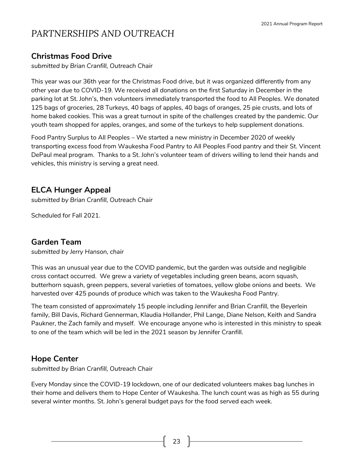### **Christmas Food Drive**

*submitted by Brian Cranfill, Outreach Chair*

This year was our 36th year for the Christmas Food drive, but it was organized differently from any other year due to COVID-19. We received all donations on the first Saturday in December in the parking lot at St. John's, then volunteers immediately transported the food to All Peoples. We donated 125 bags of groceries, 28 Turkeys, 40 bags of apples, 40 bags of oranges, 25 pie crusts, and lots of home baked cookies. This was a great turnout in spite of the challenges created by the pandemic. Our youth team shopped for apples, oranges, and some of the turkeys to help supplement donations.

Food Pantry Surplus to All Peoples – We started a new ministry in December 2020 of weekly transporting excess food from Waukesha Food Pantry to All Peoples Food pantry and their St. Vincent DePaul meal program. Thanks to a St. John's volunteer team of drivers willing to lend their hands and vehicles, this ministry is serving a great need.

### **ELCA Hunger Appeal**

*submitted by Brian Cranfill, Outreach Chair*

Scheduled for Fall 2021.

#### **Garden Team**

*submitted by Jerry Hanson, chair*

This was an unusual year due to the COVID pandemic, but the garden was outside and negligible cross contact occurred. We grew a variety of vegetables including green beans, acorn squash, butterhorn squash, green peppers, several varieties of tomatoes, yellow globe onions and beets. We harvested over 425 pounds of produce which was taken to the Waukesha Food Pantry.

The team consisted of approximately 15 people including Jennifer and Brian Cranfill, the Beyerlein family, Bill Davis, Richard Gennerman, Klaudia Hollander, Phil Lange, Diane Nelson, Keith and Sandra Paukner, the Zach family and myself. We encourage anyone who is interested in this ministry to speak to one of the team which will be led in the 2021 season by Jennifer Cranfill.

#### **Hope Center**

*submitted by Brian Cranfill, Outreach Chair*

Every Monday since the COVID-19 lockdown, one of our dedicated volunteers makes bag lunches in their home and delivers them to Hope Center of Waukesha. The lunch count was as high as 55 during several winter months. St. John's general budget pays for the food served each week.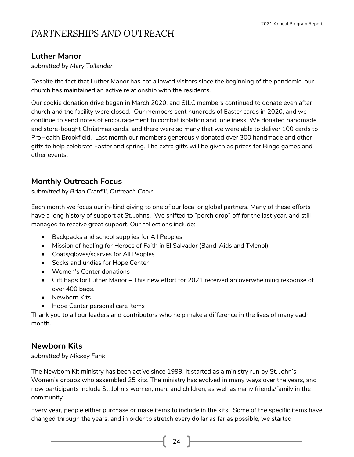### **Luther Manor**

*submitted by Mary Tollander*

Despite the fact that Luther Manor has not allowed visitors since the beginning of the pandemic, our church has maintained an active relationship with the residents.

Our cookie donation drive began in March 2020, and SJLC members continued to donate even after church and the facility were closed. Our members sent hundreds of Easter cards in 2020, and we continue to send notes of encouragement to combat isolation and loneliness. We donated handmade and store-bought Christmas cards, and there were so many that we were able to deliver 100 cards to ProHealth Brookfield. Last month our members generously donated over 300 handmade and other gifts to help celebrate Easter and spring. The extra gifts will be given as prizes for Bingo games and other events.

### **Monthly Outreach Focus**

*submitted by Brian Cranfill, Outreach Chair*

Each month we focus our in-kind giving to one of our local or global partners. Many of these efforts have a long history of support at St. Johns. We shifted to "porch drop" off for the last year, and still managed to receive great support. Our collections include:

- Backpacks and school supplies for All Peoples
- Mission of healing for Heroes of Faith in El Salvador (Band-Aids and Tylenol)
- Coats/gloves/scarves for All Peoples
- Socks and undies for Hope Center
- Women's Center donations
- Gift bags for Luther Manor This new effort for 2021 received an overwhelming response of over 400 bags.
- Newborn Kits
- Hope Center personal care items

Thank you to all our leaders and contributors who help make a difference in the lives of many each month.

### **Newborn Kits**

#### *submitted by Mickey Fank*

The Newborn Kit ministry has been active since 1999. It started as a ministry run by St. John's Women's groups who assembled 25 kits. The ministry has evolved in many ways over the years, and now participants include St. John's women, men, and children, as well as many friends/family in the community.

Every year, people either purchase or make items to include in the kits. Some of the specific items have changed through the years, and in order to stretch every dollar as far as possible, we started

24  $\parallel$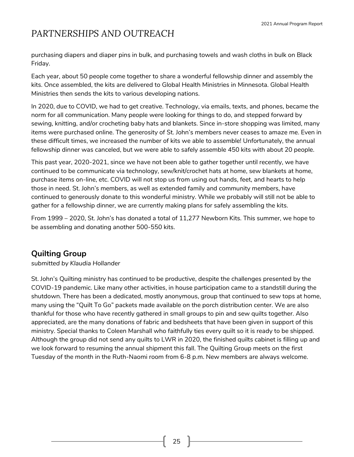purchasing diapers and diaper pins in bulk, and purchasing towels and wash cloths in bulk on Black Friday.

Each year, about 50 people come together to share a wonderful fellowship dinner and assembly the kits. Once assembled, the kits are delivered to Global Health Ministries in Minnesota. Global Health Ministries then sends the kits to various developing nations.

In 2020, due to COVID, we had to get creative. Technology, via emails, texts, and phones, became the norm for all communication. Many people were looking for things to do, and stepped forward by sewing, knitting, and/or crocheting baby hats and blankets. Since in-store shopping was limited, many items were purchased online. The generosity of St. John's members never ceases to amaze me. Even in these difficult times, we increased the number of kits we able to assemble! Unfortunately, the annual fellowship dinner was canceled, but we were able to safely assemble 450 kits with about 20 people.

This past year, 2020-2021, since we have not been able to gather together until recently, we have continued to be communicate via technology, sew/knit/crochet hats at home, sew blankets at home, purchase items on-line, etc. COVID will not stop us from using out hands, feet, and hearts to help those in need. St. John's members, as well as extended family and community members, have continued to generously donate to this wonderful ministry. While we probably will still not be able to gather for a fellowship dinner, we are currently making plans for safely assembling the kits.

From 1999 – 2020, St. John's has donated a total of 11,277 Newborn Kits. This summer, we hope to be assembling and donating another 500-550 kits.

### **Quilting Group**

*submitted by Klaudia Hollander*

St. John's Quilting ministry has continued to be productive, despite the challenges presented by the COVID-19 pandemic. Like many other activities, in house participation came to a standstill during the shutdown. There has been a dedicated, mostly anonymous, group that continued to sew tops at home, many using the "Quilt To Go" packets made available on the porch distribution center. We are also thankful for those who have recently gathered in small groups to pin and sew quilts together. Also appreciated, are the many donations of fabric and bedsheets that have been given in support of this ministry. Special thanks to Coleen Marshall who faithfully ties every quilt so it is ready to be shipped. Although the group did not send any quilts to LWR in 2020, the finished quilts cabinet is filling up and we look forward to resuming the annual shipment this fall. The Quilting Group meets on the first Tuesday of the month in the Ruth-Naomi room from 6-8 p.m. New members are always welcome.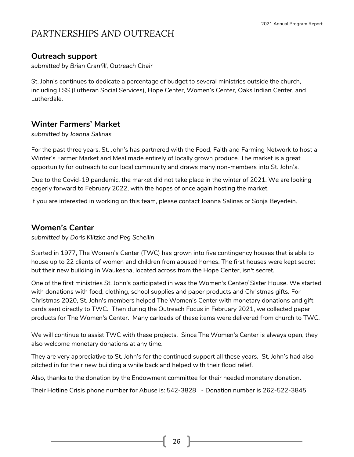### **Outreach support**

*submitted by Brian Cranfill, Outreach Chair*

St. John's continues to dedicate a percentage of budget to several ministries outside the church, including LSS (Lutheran Social Services), Hope Center, Women's Center, Oaks Indian Center, and Lutherdale.

### **Winter Farmers' Market**

#### *submitted by Joanna Salinas*

For the past three years, St. John's has partnered with the Food, Faith and Farming Network to host a Winter's Farmer Market and Meal made entirely of locally grown produce. The market is a great opportunity for outreach to our local community and draws many non-members into St. John's.

Due to the Covid-19 pandemic, the market did not take place in the winter of 2021. We are looking eagerly forward to February 2022, with the hopes of once again hosting the market.

If you are interested in working on this team, please contact Joanna Salinas or Sonja Beyerlein.

#### **Women's Center**

*submitted by Doris Klitzke and Peg Schellin*

Started in 1977, The Women's Center (TWC) has grown into five contingency houses that is able to house up to 22 clients of women and children from abused homes. The first houses were kept secret but their new building in Waukesha, located across from the Hope Center, isn't secret.

One of the first ministries St. John's participated in was the Women's Center/ Sister House. We started with donations with food, clothing, school supplies and paper products and Christmas gifts. For Christmas 2020, St. John's members helped The Women's Center with monetary donations and gift cards sent directly to TWC. Then during the Outreach Focus in February 2021, we collected paper products for The Women's Center. Many carloads of these items were delivered from church to TWC.

We will continue to assist TWC with these projects. Since The Women's Center is always open, they also welcome monetary donations at any time.

They are very appreciative to St. John's for the continued support all these years. St. John's had also pitched in for their new building a while back and helped with their flood relief.

Also, thanks to the donation by the Endowment committee for their needed monetary donation.

Their Hotline Crisis phone number for Abuse is: 542-3828 - Donation number is 262-522-3845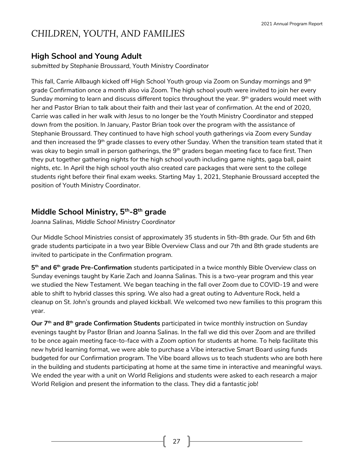### **High School and Young Adult**

*submitted by Stephanie Broussard, Youth Ministry Coordinator*

This fall, Carrie Allbaugh kicked off High School Youth group via Zoom on Sunday mornings and 9<sup>th</sup> grade Confirmation once a month also via Zoom. The high school youth were invited to join her every Sunday morning to learn and discuss different topics throughout the year. 9th graders would meet with her and Pastor Brian to talk about their faith and their last year of confirmation. At the end of 2020, Carrie was called in her walk with Jesus to no longer be the Youth Ministry Coordinator and stepped down from the position. In January, Pastor Brian took over the program with the assistance of Stephanie Broussard. They continued to have high school youth gatherings via Zoom every Sunday and then increased the 9<sup>th</sup> grade classes to every other Sunday. When the transition team stated that it was okay to begin small in person gatherings, the 9<sup>th</sup> graders began meeting face to face first. Then they put together gathering nights for the high school youth including game nights, gaga ball, paint nights, etc. In April the high school youth also created care packages that were sent to the college students right before their final exam weeks. Starting May 1, 2021, Stephanie Broussard accepted the position of Youth Ministry Coordinator.

### **Middle School Ministry, 5th -8 th grade**

*Joanna Salinas, Middle School Ministry Coordinator*

Our Middle School Ministries consist of approximately 35 students in 5th-8th grade. Our 5th and 6th grade students participate in a two year Bible Overview Class and our 7th and 8th grade students are invited to participate in the Confirmation program.

**5 th and 6 th grade Pre-Confirmation** students participated in a twice monthly Bible Overview class on Sunday evenings taught by Karie Zach and Joanna Salinas. This is a two-year program and this year we studied the New Testament. We began teaching in the fall over Zoom due to COVID-19 and were able to shift to hybrid classes this spring. We also had a great outing to Adventure Rock, held a cleanup on St. John's grounds and played kickball. We welcomed two new families to this program this year.

**Our 7th and 8 th grade Confirmation Students** participated in twice monthly instruction on Sunday evenings taught by Pastor Brian and Joanna Salinas. In the fall we did this over Zoom and are thrilled to be once again meeting face-to-face with a Zoom option for students at home. To help facilitate this new hybrid learning format, we were able to purchase a Vibe interactive Smart Board using funds budgeted for our Confirmation program. The Vibe board allows us to teach students who are both here in the building and students participating at home at the same time in interactive and meaningful ways. We ended the year with a unit on World Religions and students were asked to each research a major World Religion and present the information to the class. They did a fantastic job!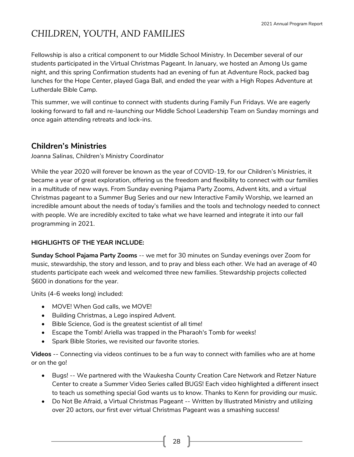Fellowship is also a critical component to our Middle School Ministry. In December several of our students participated in the Virtual Christmas Pageant. In January, we hosted an Among Us game night, and this spring Confirmation students had an evening of fun at Adventure Rock, packed bag lunches for the Hope Center, played Gaga Ball, and ended the year with a High Ropes Adventure at Lutherdale Bible Camp.

This summer, we will continue to connect with students during Family Fun Fridays. We are eagerly looking forward to fall and re-launching our Middle School Leadership Team on Sunday mornings and once again attending retreats and lock-ins.

### **Children's Ministries**

*Joanna Salinas, Children's Ministry Coordinator*

While the year 2020 will forever be known as the year of COVID-19, for our Children's Ministries, it became a year of great exploration, offering us the freedom and flexibility to connect with our families in a multitude of new ways. From Sunday evening Pajama Party Zooms, Advent kits, and a virtual Christmas pageant to a Summer Bug Series and our new Interactive Family Worship, we learned an incredible amount about the needs of today's families and the tools and technology needed to connect with people. We are incredibly excited to take what we have learned and integrate it into our fall programming in 2021.

#### **HIGHLIGHTS OF THE YEAR INCLUDE:**

**Sunday School Pajama Party Zooms** -- we met for 30 minutes on Sunday evenings over Zoom for music, stewardship, the story and lesson, and to pray and bless each other. We had an average of 40 students participate each week and welcomed three new families. Stewardship projects collected \$600 in donations for the year.

Units (4-6 weeks long) included:

- MOVE! When God calls, we MOVE!
- Building Christmas, a Lego inspired Advent.
- Bible Science, God is the greatest scientist of all time!
- Escape the Tomb! Ariella was trapped in the Pharaoh's Tomb for weeks!
- Spark Bible Stories, we revisited our favorite stories.

**Videos** -- Connecting via videos continues to be a fun way to connect with families who are at home or on the go!

- Bugs! -- We partnered with the Waukesha County Creation Care Network and Retzer Nature Center to create a Summer Video Series called BUGS! Each video highlighted a different insect to teach us something special God wants us to know. Thanks to Kenn for providing our music.
- Do Not Be Afraid, a Virtual Christmas Pageant -- Written by Illustrated Ministry and utilizing over 20 actors, our first ever virtual Christmas Pageant was a smashing success!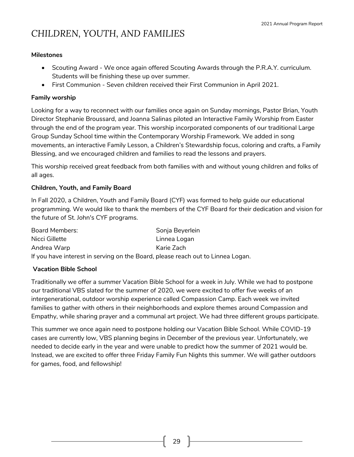#### **Milestones**

- Scouting Award We once again offered Scouting Awards through the P.R.A.Y. curriculum. Students will be finishing these up over summer.
- First Communion Seven children received their First Communion in April 2021.

#### **Family worship**

Looking for a way to reconnect with our families once again on Sunday mornings, Pastor Brian, Youth Director Stephanie Broussard, and Joanna Salinas piloted an Interactive Family Worship from Easter through the end of the program year. This worship incorporated components of our traditional Large Group Sunday School time within the Contemporary Worship Framework. We added in song movements, an interactive Family Lesson, a Children's Stewardship focus, coloring and crafts, a Family Blessing, and we encouraged children and families to read the lessons and prayers.

This worship received great feedback from both families with and without young children and folks of all ages.

#### **Children, Youth, and Family Board**

In Fall 2020, a Children, Youth and Family Board (CYF) was formed to help guide our educational programming. We would like to thank the members of the CYF Board for their dedication and vision for the future of St. John's CYF programs.

| Board Members:                                                                  | Sonja Beyerlein |
|---------------------------------------------------------------------------------|-----------------|
| Nicci Gillette                                                                  | Linnea Logan    |
| Andrea Warp                                                                     | Karie Zach      |
| If you have interest in serving on the Board, please reach out to Linnea Logan. |                 |

#### **Vacation Bible School**

Traditionally we offer a summer Vacation Bible School for a week in July. While we had to postpone our traditional VBS slated for the summer of 2020, we were excited to offer five weeks of an intergenerational, outdoor worship experience called Compassion Camp. Each week we invited families to gather with others in their neighborhoods and explore themes around Compassion and Empathy, while sharing prayer and a communal art project. We had three different groups participate.

This summer we once again need to postpone holding our Vacation Bible School. While COVID-19 cases are currently low, VBS planning begins in December of the previous year. Unfortunately, we needed to decide early in the year and were unable to predict how the summer of 2021 would be. Instead, we are excited to offer three Friday Family Fun Nights this summer. We will gather outdoors for games, food, and fellowship!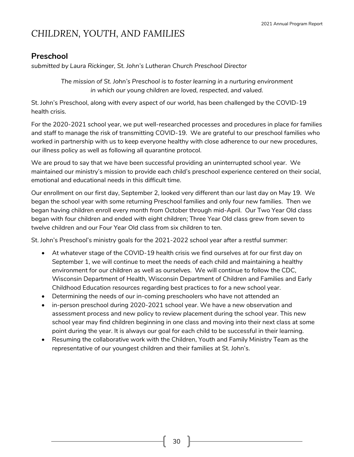### **Preschool**

*submitted by Laura Rickinger, St. John's Lutheran Church Preschool Director*

*The mission of St. John's Preschool is to foster learning in a nurturing environment in which our young children are loved, respected, and valued.*

St. John's Preschool, along with every aspect of our world, has been challenged by the COVID-19 health crisis.

For the 2020-2021 school year, we put well-researched processes and procedures in place for families and staff to manage the risk of transmitting COVID-19. We are grateful to our preschool families who worked in partnership with us to keep everyone healthy with close adherence to our new procedures, our illness policy as well as following all quarantine protocol.

We are proud to say that we have been successful providing an uninterrupted school year. We maintained our ministry's mission to provide each child's preschool experience centered on their social, emotional and educational needs in this difficult time.

Our enrollment on our first day, September 2, looked very different than our last day on May 19. We began the school year with some returning Preschool families and only four new families. Then we began having children enroll every month from October through mid-April. Our Two Year Old class began with four children and ended with eight children; Three Year Old class grew from seven to twelve children and our Four Year Old class from six children to ten.

St. John's Preschool's ministry goals for the 2021-2022 school year after a restful summer:

- At whatever stage of the COVID-19 health crisis we find ourselves at for our first day on September 1, we will continue to meet the needs of each child and maintaining a healthy environment for our children as well as ourselves. We will continue to follow the CDC, Wisconsin Department of Health, Wisconsin Department of Children and Families and Early Childhood Education resources regarding best practices to for a new school year.
- Determining the needs of our in-coming preschoolers who have not attended an
- in-person preschool during 2020-2021 school year. We have a new observation and assessment process and new policy to review placement during the school year. This new school year may find children beginning in one class and moving into their next class at some point during the year. It is always our goal for each child to be successful in their learning.
- Resuming the collaborative work with the Children, Youth and Family Ministry Team as the representative of our youngest children and their families at St. John's.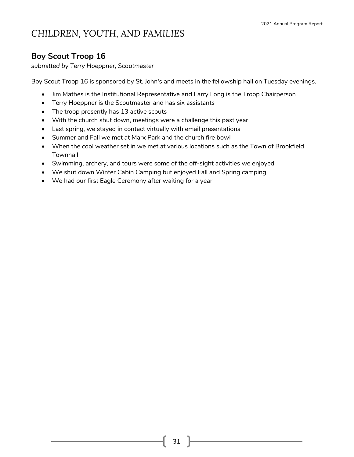### **Boy Scout Troop 16**

*submitted by Terry Hoeppner, Scoutmaster*

Boy Scout Troop 16 is sponsored by St. John's and meets in the fellowship hall on Tuesday evenings.

- Jim Mathes is the Institutional Representative and Larry Long is the Troop Chairperson
- Terry Hoeppner is the Scoutmaster and has six assistants
- The troop presently has 13 active scouts
- With the church shut down, meetings were a challenge this past year
- Last spring, we stayed in contact virtually with email presentations
- Summer and Fall we met at Marx Park and the church fire bowl
- When the cool weather set in we met at various locations such as the Town of Brookfield **Townhall**
- Swimming, archery, and tours were some of the off-sight activities we enjoyed
- We shut down Winter Cabin Camping but enjoyed Fall and Spring camping
- We had our first Eagle Ceremony after waiting for a year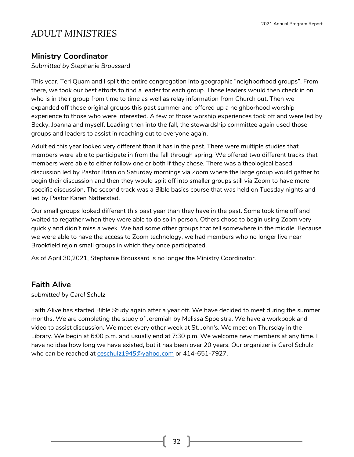#### **Ministry Coordinator**

*Submitted by Stephanie Broussard*

This year, Teri Quam and I split the entire congregation into geographic "neighborhood groups". From there, we took our best efforts to find a leader for each group. Those leaders would then check in on who is in their group from time to time as well as relay information from Church out. Then we expanded off those original groups this past summer and offered up a neighborhood worship experience to those who were interested. A few of those worship experiences took off and were led by Becky, Joanna and myself. Leading then into the fall, the stewardship committee again used those groups and leaders to assist in reaching out to everyone again.

Adult ed this year looked very different than it has in the past. There were multiple studies that members were able to participate in from the fall through spring. We offered two different tracks that members were able to either follow one or both if they chose. There was a theological based discussion led by Pastor Brian on Saturday mornings via Zoom where the large group would gather to begin their discussion and then they would split off into smaller groups still via Zoom to have more specific discussion. The second track was a Bible basics course that was held on Tuesday nights and led by Pastor Karen Natterstad.

Our small groups looked different this past year than they have in the past. Some took time off and waited to regather when they were able to do so in person. Others chose to begin using Zoom very quickly and didn't miss a week. We had some other groups that fell somewhere in the middle. Because we were able to have the access to Zoom technology, we had members who no longer live near Brookfield rejoin small groups in which they once participated.

As of April 30,2021, Stephanie Broussard is no longer the Ministry Coordinator.

#### **Faith Alive**

*submitted by Carol Schulz*

Faith Alive has started Bible Study again after a year off. We have decided to meet during the summer months. We are completing the study of Jeremiah by Melissa Spoelstra. We have a workbook and video to assist discussion. We meet every other week at St. John's. We meet on Thursday in the Library. We begin at 6:00 p.m. and usually end at 7:30 p.m. We welcome new members at any time. I have no idea how long we have existed, but it has been over 20 years. Our organizer is Carol Schulz who can be reached at [ceschulz1945@yahoo.com](mailto:ceschulz1945@yahoo.com) or 414-651-7927.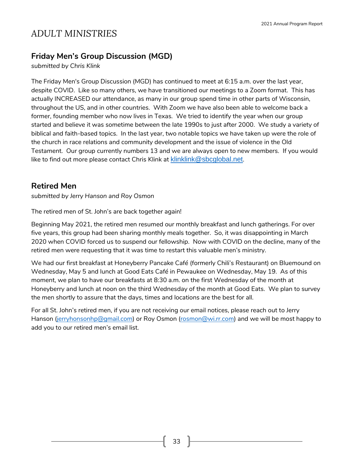### **Friday Men's Group Discussion (MGD)**

*submitted by Chris Klink*

The Friday Men's Group Discussion (MGD) has continued to meet at 6:15 a.m. over the last year, despite COVID. Like so many others, we have transitioned our meetings to a Zoom format. This has actually INCREASED our attendance, as many in our group spend time in other parts of Wisconsin, throughout the US, and in other countries. With Zoom we have also been able to welcome back a former, founding member who now lives in Texas. We tried to identify the year when our group started and believe it was sometime between the late 1990s to just after 2000. We study a variety of biblical and faith-based topics. In the last year, two notable topics we have taken up were the role of the church in race relations and community development and the issue of violence in the Old Testament. Our group currently numbers 13 and we are always open to new members. If you would like to find out more please contact Chris Klink at [klinklink@sbcglobal.net](mailto:klinklink@sbcglobal.net).

### **Retired Men**

*submitted by Jerry Hanson and Roy Osmon*

The retired men of St. John's are back together again!

Beginning May 2021, the retired men resumed our monthly breakfast and lunch gatherings. For over five years, this group had been sharing monthly meals together. So, it was disappointing in March 2020 when COVID forced us to suspend our fellowship. Now with COVID on the decline, many of the retired men were requesting that it was time to restart this valuable men's ministry.

We had our first breakfast at Honeyberry Pancake Café (formerly Chili's Restaurant) on Bluemound on Wednesday, May 5 and lunch at Good Eats Café in Pewaukee on Wednesday, May 19. As of this moment, we plan to have our breakfasts at 8:30 a.m. on the first Wednesday of the month at Honeyberry and lunch at noon on the third Wednesday of the month at Good Eats. We plan to survey the men shortly to assure that the days, times and locations are the best for all.

For all St. John's retired men, if you are not receiving our email notices, please reach out to Jerry Hanson [\(jerryhonsonhp@gmail.com\)](mailto:jerryhonsonhp@gmail.com) or Roy Osmon [\(rosmon@wi.rr.com\)](mailto:rosmon@wi.rr.com) and we will be most happy to add you to our retired men's email list.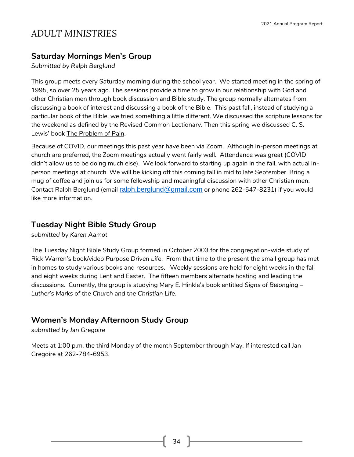#### **Saturday Mornings Men's Group**

*Submitted by Ralph Berglund*

This group meets every Saturday morning during the school year. We started meeting in the spring of 1995, so over 25 years ago. The sessions provide a time to grow in our relationship with God and other Christian men through book discussion and Bible study. The group normally alternates from discussing a book of interest and discussing a book of the Bible. This past fall, instead of studying a particular book of the Bible, we tried something a little different. We discussed the scripture lessons for the weekend as defined by the Revised Common Lectionary. Then this spring we discussed C. S. Lewis' book The Problem of Pain.

Because of COVID, our meetings this past year have been via Zoom. Although in-person meetings at church are preferred, the Zoom meetings actually went fairly well. Attendance was great (COVID didn't allow us to be doing much else). We look forward to starting up again in the fall, with actual inperson meetings at church. We will be kicking off this coming fall in mid to late September. Bring a mug of coffee and join us for some fellowship and meaningful discussion with other Christian men. Contact Ralph Berglund (email [ralph.berglund@gmail.com](mailto:ralph.berglund@gmail.com) or phone 262-547-8231) if you would like more information.

#### **Tuesday Night Bible Study Group**

*submitted by Karen Aamot*

The Tuesday Night Bible Study Group formed in October 2003 for the congregation-wide study of Rick Warren's book/video *Purpose Driven Life*. From that time to the present the small group has met in homes to study various books and resources. Weekly sessions are held for eight weeks in the fall and eight weeks during Lent and Easter. The fifteen members alternate hosting and leading the discussions. Currently, the group is studying Mary E. Hinkle's book entitled *Signs of Belonging* – *Luther's Marks of the Church and the Christian Life*.

#### **Women's Monday Afternoon Study Group**

*submitted by Jan Gregoire*

Meets at 1:00 p.m. the third Monday of the month September through May. If interested call Jan Gregoire at 262-784-6953.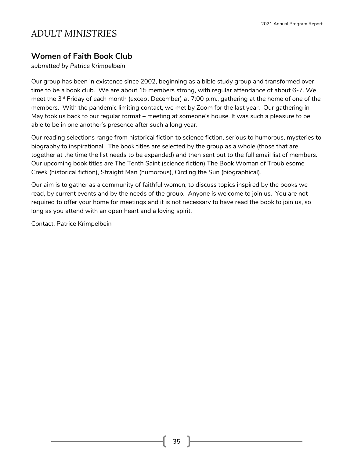#### **Women of Faith Book Club**

*submitted by Patrice Krimpelbein*

Our group has been in existence since 2002, beginning as a bible study group and transformed over time to be a book club. We are about 15 members strong, with regular attendance of about 6-7. We meet the 3<sup>rd</sup> Friday of each month (except December) at 7:00 p.m., gathering at the home of one of the members. With the pandemic limiting contact, we met by Zoom for the last year. Our gathering in May took us back to our regular format – meeting at someone's house. It was such a pleasure to be able to be in one another's presence after such a long year.

Our reading selections range from historical fiction to science fiction, serious to humorous, mysteries to biography to inspirational. The book titles are selected by the group as a whole (those that are together at the time the list needs to be expanded) and then sent out to the full email list of members. Our upcoming book titles are The Tenth Saint (science fiction) The Book Woman of Troublesome Creek (historical fiction), Straight Man (humorous), Circling the Sun (biographical).

Our aim is to gather as a community of faithful women, to discuss topics inspired by the books we read, by current events and by the needs of the group. Anyone is welcome to join us. You are not required to offer your home for meetings and it is not necessary to have read the book to join us, so long as you attend with an open heart and a loving spirit.

Contact: Patrice Krimpelbein

35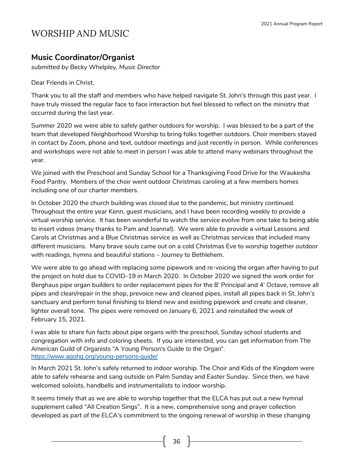### **Music Coordinator/Organist**

*submitted by Becky Whelpley, Music Director*

Dear Friends in Christ,

Thank you to all the staff and members who have helped navigate St. John's through this past year. I have truly missed the regular face to face interaction but feel blessed to reflect on the ministry that occurred during the last year.

Summer 2020 we were able to safely gather outdoors for worship. I was blessed to be a part of the team that developed Neighborhood Worship to bring folks together outdoors. Choir members stayed in contact by Zoom, phone and text, outdoor meetings and just recently in person. While conferences and workshops were not able to meet in person I was able to attend many webinars throughout the year.

We joined with the Preschool and Sunday School for a Thanksgiving Food Drive for the Waukesha Food Pantry. Members of the choir went outdoor Christmas caroling at a few members homes including one of our charter members.

In October 2020 the church building was closed due to the pandemic, but ministry continued. Throughout the entire year Kenn, guest musicians, and I have been recording weekly to provide a virtual worship service. It has been wonderful to watch the service evolve from one take to being able to insert videos (many thanks to Pam and Joanna!). We were able to provide a virtual Lessons and Carols at Christmas and a Blue Christmas service as well as Christmas services that included many different musicians. Many brave souls came out on a cold Christmas Eve to worship together outdoor with readings, hymns and beautiful stations – Journey to Bethlehem.

We were able to go ahead with replacing some pipework and re-voicing the organ after having to put the project on hold due to COVID-19 in March 2020. In October 2020 we signed the work order for Berghaus pipe organ builders to order replacement pipes for the 8' Principal and 4' Octave, remove all pipes and clean/repair in the shop, prevoice new and cleaned pipes, install all pipes back in St. John's sanctuary and perform tonal finishing to blend new and existing pipework and create and cleaner, lighter overall tone. The pipes were removed on January 6, 2021 and reinstalled the week of February 15, 2021.

I was able to share fun facts about pipe organs with the preschool, Sunday school students and congregation with info and coloring sheets. If you are interested, you can get information from The American Guild of Organists "A Young Person's Guide to the Organ". <https://www.agohq.org/young-persons-guide/>

In March 2021 St. John's safely returned to indoor worship. The Choir and Kids of the Kingdom were able to safely rehearse and sang outside on Palm Sunday and Easter Sunday. Since then, we have welcomed soloists, handbells and instrumentalists to indoor worship.

It seems timely that as we are able to worship together that the ELCA has put out a new hymnal supplement called "All Creation Sings". It is a new, comprehensive song and prayer collection developed as part of the ELCA's commitment to the ongoing renewal of worship in these changing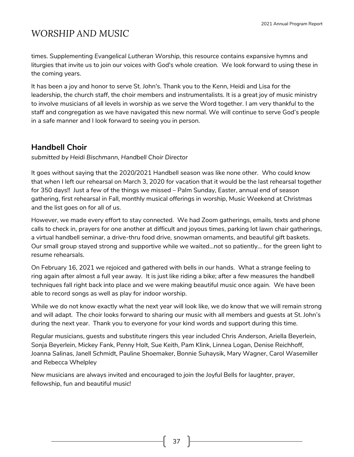times. Supplementing *Evangelical Lutheran Worship,* this resource contains expansive hymns and liturgies that invite us to join our voices with God's whole creation. We look forward to using these in the coming years.

It has been a joy and honor to serve St. John's. Thank you to the Kenn, Heidi and Lisa for the leadership, the church staff, the choir members and instrumentalists. It is a great joy of music ministry to involve musicians of all levels in worship as we serve the Word together. I am very thankful to the staff and congregation as we have navigated this new normal. We will continue to serve God's people in a safe manner and I look forward to seeing you in person.

#### **Handbell Choir**

*submitted by Heidi Bischmann, Handbell Choir Director*

It goes without saying that the 2020/2021 Handbell season was like none other. Who could know that when I left our rehearsal on March 3, 2020 for vacation that it would be the last rehearsal together for 350 days!! Just a few of the things we missed – Palm Sunday, Easter, annual end of season gathering, first rehearsal in Fall, monthly musical offerings in worship, Music Weekend at Christmas and the list goes on for all of us.

However, we made every effort to stay connected. We had Zoom gatherings, emails, texts and phone calls to check in, prayers for one another at difficult and joyous times, parking lot lawn chair gatherings, a virtual handbell seminar, a drive-thru food drive, snowman ornaments, and beautiful gift baskets. Our small group stayed strong and supportive while we waited…not so patiently… for the green light to resume rehearsals.

On February 16, 2021 we rejoiced and gathered with bells in our hands. What a strange feeling to ring again after almost a full year away. It is just like riding a bike; after a few measures the handbell techniques fall right back into place and we were making beautiful music once again. We have been able to record songs as well as play for indoor worship.

While we do not know exactly what the next year will look like, we do know that we will remain strong and will adapt. The choir looks forward to sharing our music with all members and guests at St. John's during the next year. Thank you to everyone for your kind words and support during this time.

Regular musicians, guests and substitute ringers this year included Chris Anderson, Ariella Beyerlein, Sonja Beyerlein, Mickey Fank, Penny Holt, Sue Keith, Pam Klink, Linnea Logan, Denise Reichhoff, Joanna Salinas, Janell Schmidt, Pauline Shoemaker, Bonnie Suhaysik, Mary Wagner, Carol Wasemiller and Rebecca Whelpley

New musicians are always invited and encouraged to join the Joyful Bells for laughter, prayer, fellowship, fun and beautiful music!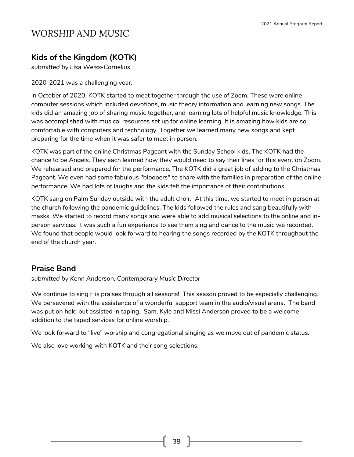### **Kids of the Kingdom (KOTK)**

*submitted by Lisa Weiss-Cornelius*

2020-2021 was a challenging year.

In October of 2020, KOTK started to meet together through the use of Zoom. These were online computer sessions which included devotions, music theory information and learning new songs. The kids did an amazing job of sharing music together, and learning lots of helpful music knowledge. This was accomplished with musical resources set up for online learning. It is amazing how kids are so comfortable with computers and technology. Together we learned many new songs and kept preparing for the time when it was safer to meet in person.

KOTK was part of the online Christmas Pageant with the Sunday School kids. The KOTK had the chance to be Angels. They each learned how they would need to say their lines for this event on Zoom. We rehearsed and prepared for the performance. The KOTK did a great job of adding to the Christmas Pageant. We even had some fabulous "bloopers" to share with the families in preparation of the online performance. We had lots of laughs and the kids felt the importance of their contributions.

KOTK sang on Palm Sunday outside with the adult choir. At this time, we started to meet in person at the church following the pandemic guidelines. The kids followed the rules and sang beautifully with masks. We started to record many songs and were able to add musical selections to the online and inperson services. It was such a fun experience to see them sing and dance to the music we recorded. We found that people would look forward to hearing the songs recorded by the KOTK throughout the end of the church year.

#### **Praise Band**

*submitted by Kenn Anderson, Contemporary Music Director*

We continue to sing His praises through all seasons! This season proved to be especially challenging. We persevered with the assistance of a wonderful support team in the audio/visual arena. The band was put on hold but assisted in taping. Sam, Kyle and Missi Anderson proved to be a welcome addition to the taped services for online worship.

We look forward to "live" worship and congregational singing as we move out of pandemic status.

We also love working with KOTK and their song selections.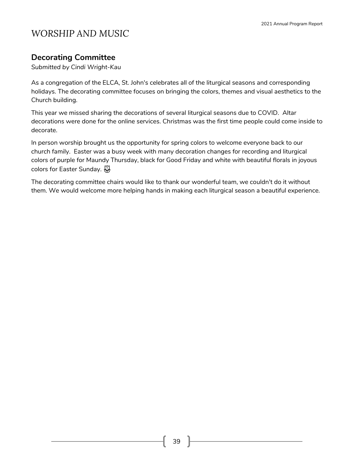### **Decorating Committee**

*Submitted by Cindi Wright-Kau*

As a congregation of the ELCA, St. John's celebrates all of the liturgical seasons and corresponding holidays. The decorating committee focuses on bringing the colors, themes and visual aesthetics to the Church building.

This year we missed sharing the decorations of several liturgical seasons due to COVID. Altar decorations were done for the online services. Christmas was the first time people could come inside to decorate.

In person worship brought us the opportunity for spring colors to welcome everyone back to our church family. Easter was a busy week with many decoration changes for recording and liturgical colors of purple for Maundy Thursday, black for Good Friday and white with beautiful florals in joyous colors for Easter Sunday.

The decorating committee chairs would like to thank our wonderful team, we couldn't do it without them. We would welcome more helping hands in making each liturgical season a beautiful experience.